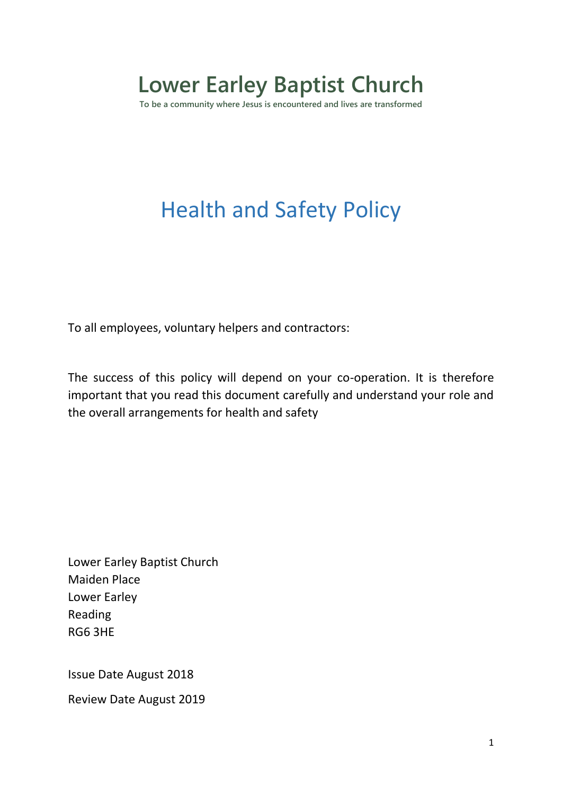# **Lower Earley Baptist Church**

**To be a community where Jesus is encountered and lives are transformed**

## Health and Safety Policy

To all employees, voluntary helpers and contractors:

The success of this policy will depend on your co-operation. It is therefore important that you read this document carefully and understand your role and the overall arrangements for health and safety

Lower Earley Baptist Church Maiden Place Lower Earley Reading RG6 3HE

Issue Date August 2018

Review Date August 2019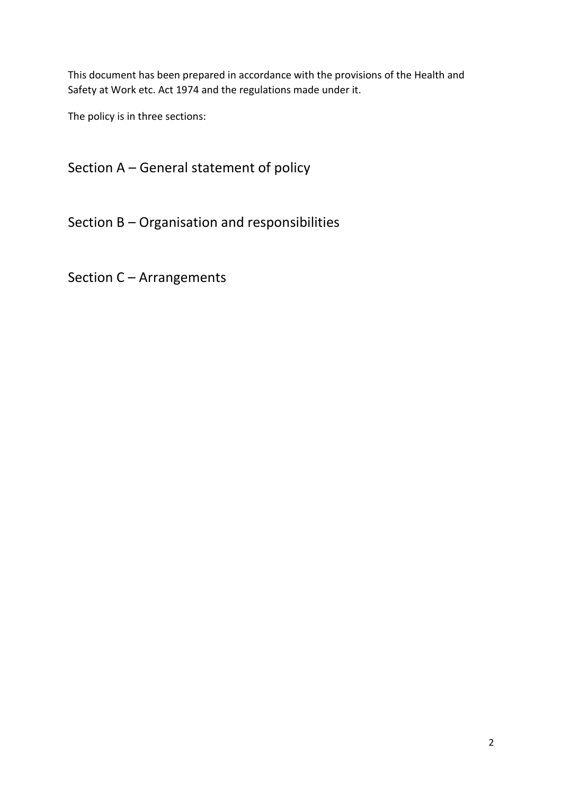This document has been prepared in accordance with the provisions of the Health and Safety at Work etc. Act 1974 and the regulations made under it.

The policy is in three sections:

Section A – General statement of policy

Section B – Organisation and responsibilities

Section C – Arrangements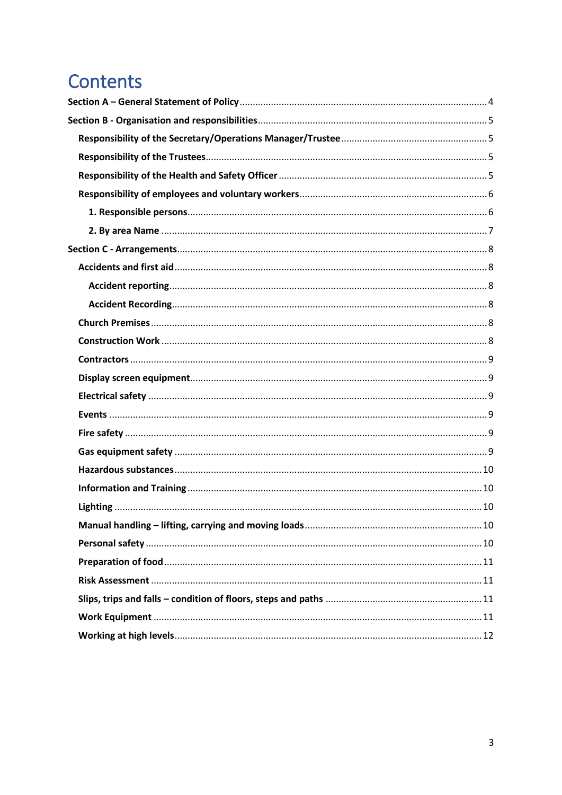## Contents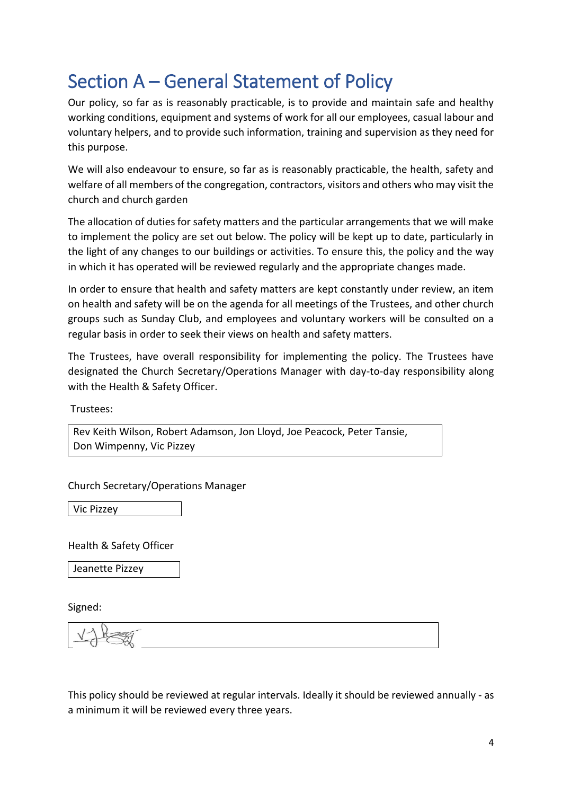### <span id="page-3-0"></span>Section A – General Statement of Policy

Our policy, so far as is reasonably practicable, is to provide and maintain safe and healthy working conditions, equipment and systems of work for all our employees, casual labour and voluntary helpers, and to provide such information, training and supervision as they need for this purpose.

We will also endeavour to ensure, so far as is reasonably practicable, the health, safety and welfare of all members of the congregation, contractors, visitors and others who may visit the church and church garden

The allocation of duties for safety matters and the particular arrangements that we will make to implement the policy are set out below. The policy will be kept up to date, particularly in the light of any changes to our buildings or activities. To ensure this, the policy and the way in which it has operated will be reviewed regularly and the appropriate changes made.

In order to ensure that health and safety matters are kept constantly under review, an item on health and safety will be on the agenda for all meetings of the Trustees, and other church groups such as Sunday Club, and employees and voluntary workers will be consulted on a regular basis in order to seek their views on health and safety matters.

The Trustees, have overall responsibility for implementing the policy. The Trustees have designated the Church Secretary/Operations Manager with day-to-day responsibility along with the Health & Safety Officer.

Trustees:

Rev Keith Wilson, Robert Adamson, Jon Lloyd, Joe Peacock, Peter Tansie, Don Wimpenny, Vic Pizzey

Church Secretary/Operations Manager

Vic Pizzey

Health & Safety Officer

Jeanette Pizzey

Signed:

$$
\vee \text{deg}(\mathcal{A})
$$

This policy should be reviewed at regular intervals. Ideally it should be reviewed annually - as a minimum it will be reviewed every three years.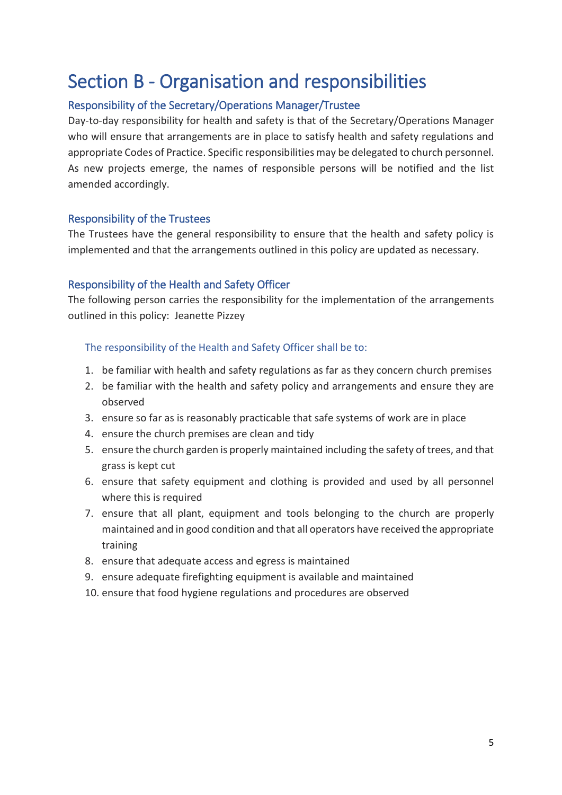### <span id="page-4-0"></span>Section B - Organisation and responsibilities

#### <span id="page-4-1"></span>Responsibility of the Secretary/Operations Manager/Trustee

Day-to-day responsibility for health and safety is that of the Secretary/Operations Manager who will ensure that arrangements are in place to satisfy health and safety regulations and appropriate Codes of Practice. Specific responsibilities may be delegated to church personnel. As new projects emerge, the names of responsible persons will be notified and the list amended accordingly.

#### <span id="page-4-2"></span>Responsibility of the Trustees

The Trustees have the general responsibility to ensure that the health and safety policy is implemented and that the arrangements outlined in this policy are updated as necessary.

#### <span id="page-4-3"></span>Responsibility of the Health and Safety Officer

The following person carries the responsibility for the implementation of the arrangements outlined in this policy: Jeanette Pizzey

The responsibility of the Health and Safety Officer shall be to:

- 1. be familiar with health and safety regulations as far as they concern church premises
- 2. be familiar with the health and safety policy and arrangements and ensure they are observed
- 3. ensure so far as is reasonably practicable that safe systems of work are in place
- 4. ensure the church premises are clean and tidy
- 5. ensure the church garden is properly maintained including the safety of trees, and that grass is kept cut
- 6. ensure that safety equipment and clothing is provided and used by all personnel where this is required
- 7. ensure that all plant, equipment and tools belonging to the church are properly maintained and in good condition and that all operators have received the appropriate training
- 8. ensure that adequate access and egress is maintained
- 9. ensure adequate firefighting equipment is available and maintained
- 10. ensure that food hygiene regulations and procedures are observed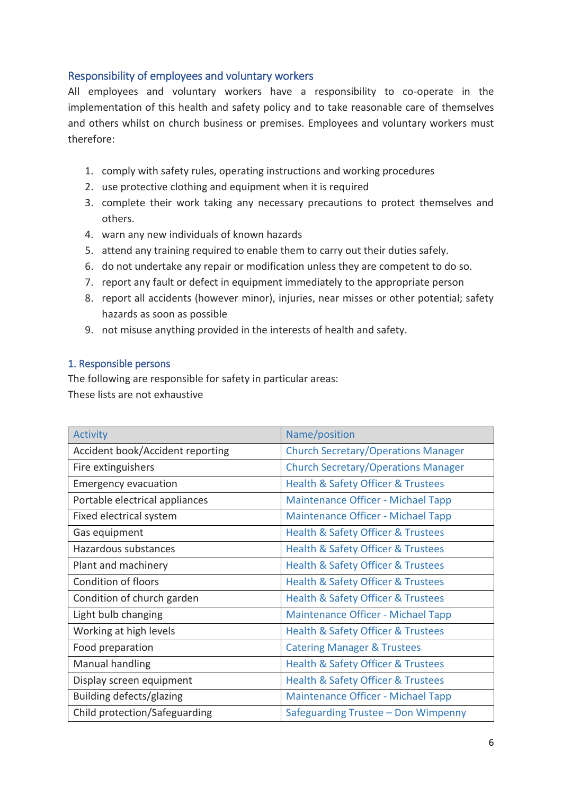#### <span id="page-5-0"></span>Responsibility of employees and voluntary workers

All employees and voluntary workers have a responsibility to co-operate in the implementation of this health and safety policy and to take reasonable care of themselves and others whilst on church business or premises. Employees and voluntary workers must therefore:

- 1. comply with safety rules, operating instructions and working procedures
- 2. use protective clothing and equipment when it is required
- 3. complete their work taking any necessary precautions to protect themselves and others.
- 4. warn any new individuals of known hazards
- 5. attend any training required to enable them to carry out their duties safely.
- 6. do not undertake any repair or modification unless they are competent to do so.
- 7. report any fault or defect in equipment immediately to the appropriate person
- 8. report all accidents (however minor), injuries, near misses or other potential; safety hazards as soon as possible
- 9. not misuse anything provided in the interests of health and safety.

#### <span id="page-5-1"></span>1. Responsible persons

The following are responsible for safety in particular areas: These lists are not exhaustive

| <b>Activity</b>                  | Name/position                                     |
|----------------------------------|---------------------------------------------------|
| Accident book/Accident reporting | <b>Church Secretary/Operations Manager</b>        |
| Fire extinguishers               | <b>Church Secretary/Operations Manager</b>        |
| <b>Emergency evacuation</b>      | Health & Safety Officer & Trustees                |
| Portable electrical appliances   | <b>Maintenance Officer - Michael Tapp</b>         |
| Fixed electrical system          | <b>Maintenance Officer - Michael Tapp</b>         |
| Gas equipment                    | Health & Safety Officer & Trustees                |
| Hazardous substances             | Health & Safety Officer & Trustees                |
| Plant and machinery              | Health & Safety Officer & Trustees                |
| <b>Condition of floors</b>       | Health & Safety Officer & Trustees                |
| Condition of church garden       | Health & Safety Officer & Trustees                |
| Light bulb changing              | <b>Maintenance Officer - Michael Tapp</b>         |
| Working at high levels           | <b>Health &amp; Safety Officer &amp; Trustees</b> |
| Food preparation                 | <b>Catering Manager &amp; Trustees</b>            |
| Manual handling                  | Health & Safety Officer & Trustees                |
| Display screen equipment         | <b>Health &amp; Safety Officer &amp; Trustees</b> |
| Building defects/glazing         | <b>Maintenance Officer - Michael Tapp</b>         |
| Child protection/Safeguarding    | Safeguarding Trustee – Don Wimpenny               |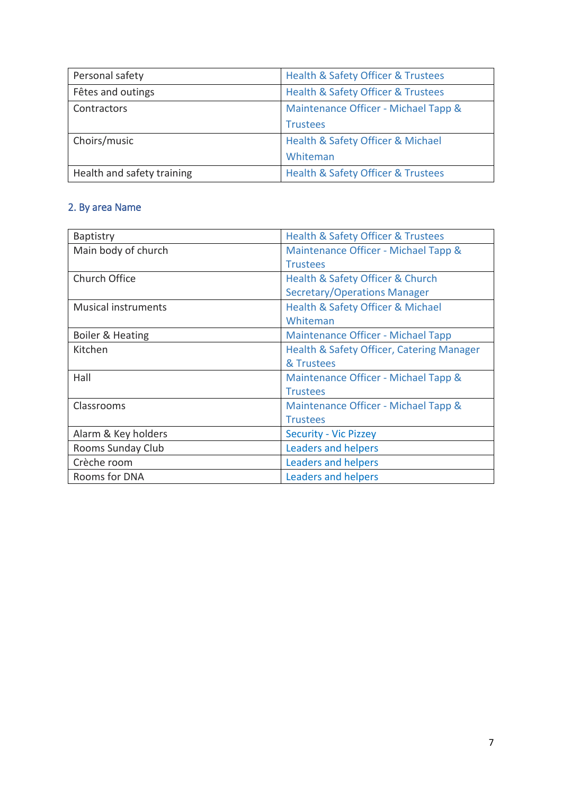| Personal safety            | Health & Safety Officer & Trustees   |
|----------------------------|--------------------------------------|
| Fêtes and outings          | Health & Safety Officer & Trustees   |
| Contractors                | Maintenance Officer - Michael Tapp & |
|                            | <b>Trustees</b>                      |
| Choirs/music               | Health & Safety Officer & Michael    |
|                            | Whiteman                             |
| Health and safety training | Health & Safety Officer & Trustees   |

### <span id="page-6-0"></span>2. By area Name

| <b>Baptistry</b>           | Health & Safety Officer & Trustees        |
|----------------------------|-------------------------------------------|
| Main body of church        | Maintenance Officer - Michael Tapp &      |
|                            | <b>Trustees</b>                           |
| Church Office              | Health & Safety Officer & Church          |
|                            | Secretary/Operations Manager              |
| <b>Musical instruments</b> | Health & Safety Officer & Michael         |
|                            | Whiteman                                  |
| Boiler & Heating           | Maintenance Officer - Michael Tapp        |
| Kitchen                    | Health & Safety Officer, Catering Manager |
|                            | & Trustees                                |
| Hall                       | Maintenance Officer - Michael Tapp &      |
|                            | <b>Trustees</b>                           |
| Classrooms                 | Maintenance Officer - Michael Tapp &      |
|                            | <b>Trustees</b>                           |
| Alarm & Key holders        | <b>Security - Vic Pizzey</b>              |
| Rooms Sunday Club          | <b>Leaders and helpers</b>                |
| Crèche room                | Leaders and helpers                       |
| Rooms for DNA              | Leaders and helpers                       |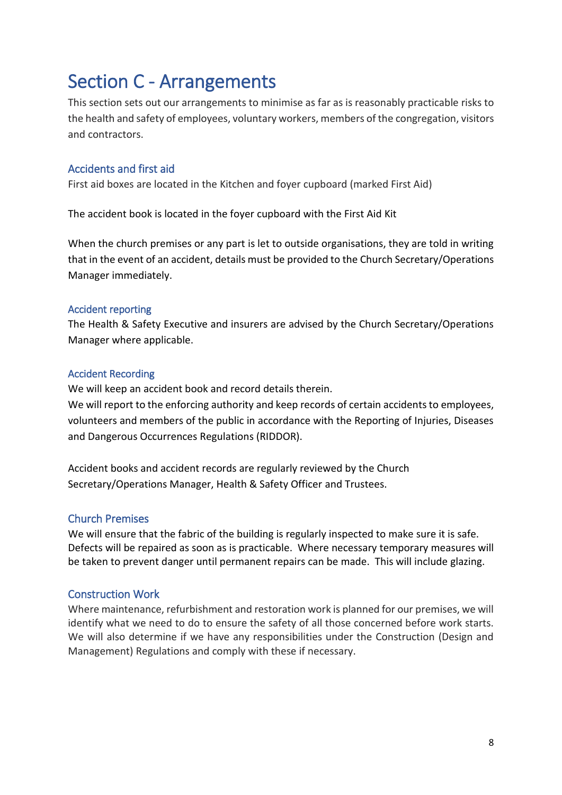### <span id="page-7-0"></span>Section C - Arrangements

This section sets out our arrangements to minimise as far as is reasonably practicable risks to the health and safety of employees, voluntary workers, members of the congregation, visitors and contractors.

#### <span id="page-7-1"></span>Accidents and first aid

First aid boxes are located in the Kitchen and foyer cupboard (marked First Aid)

The accident book is located in the foyer cupboard with the First Aid Kit

When the church premises or any part is let to outside organisations, they are told in writing that in the event of an accident, details must be provided to the Church Secretary/Operations Manager immediately.

#### <span id="page-7-2"></span>Accident reporting

The Health & Safety Executive and insurers are advised by the Church Secretary/Operations Manager where applicable.

#### <span id="page-7-3"></span>Accident Recording

We will keep an accident book and record details therein.

We will report to the enforcing authority and keep records of certain accidents to employees, volunteers and members of the public in accordance with the Reporting of Injuries, Diseases and Dangerous Occurrences Regulations (RIDDOR).

Accident books and accident records are regularly reviewed by the Church Secretary/Operations Manager, Health & Safety Officer and Trustees.

#### <span id="page-7-4"></span>Church Premises

We will ensure that the fabric of the building is regularly inspected to make sure it is safe. Defects will be repaired as soon as is practicable. Where necessary temporary measures will be taken to prevent danger until permanent repairs can be made. This will include glazing.

#### <span id="page-7-5"></span>Construction Work

Where maintenance, refurbishment and restoration work is planned for our premises, we will identify what we need to do to ensure the safety of all those concerned before work starts. We will also determine if we have any responsibilities under the Construction (Design and Management) Regulations and comply with these if necessary.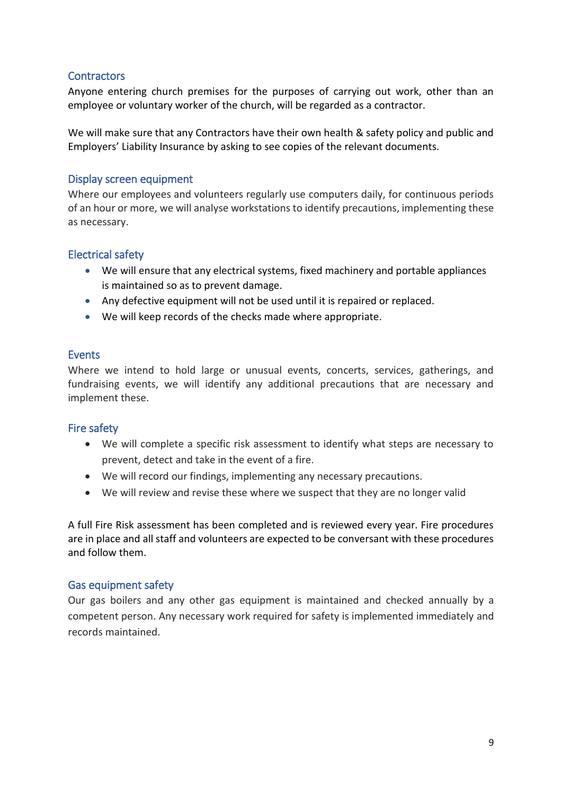#### <span id="page-8-0"></span>**Contractors**

Anyone entering church premises for the purposes of carrying out work, other than an employee or voluntary worker of the church, will be regarded as a contractor.

We will make sure that any Contractors have their own health & safety policy and public and Employers' Liability Insurance by asking to see copies of the relevant documents.

#### <span id="page-8-1"></span>Display screen equipment

Where our employees and volunteers regularly use computers daily, for continuous periods of an hour or more, we will analyse workstations to identify precautions, implementing these as necessary.

#### <span id="page-8-2"></span>Electrical safety

- We will ensure that any electrical systems, fixed machinery and portable appliances is maintained so as to prevent damage.
- Any defective equipment will not be used until it is repaired or replaced.
- We will keep records of the checks made where appropriate.

#### <span id="page-8-3"></span>**Events**

Where we intend to hold large or unusual events, concerts, services, gatherings, and fundraising events, we will identify any additional precautions that are necessary and implement these.

#### <span id="page-8-4"></span>Fire safety

- We will complete a specific risk assessment to identify what steps are necessary to prevent, detect and take in the event of a fire.
- We will record our findings, implementing any necessary precautions.
- We will review and revise these where we suspect that they are no longer valid

A full Fire Risk assessment has been completed and is reviewed every year. Fire procedures are in place and all staff and volunteers are expected to be conversant with these procedures and follow them.

#### <span id="page-8-5"></span>Gas equipment safety

Our gas boilers and any other gas equipment is maintained and checked annually by a competent person. Any necessary work required for safety is implemented immediately and records maintained.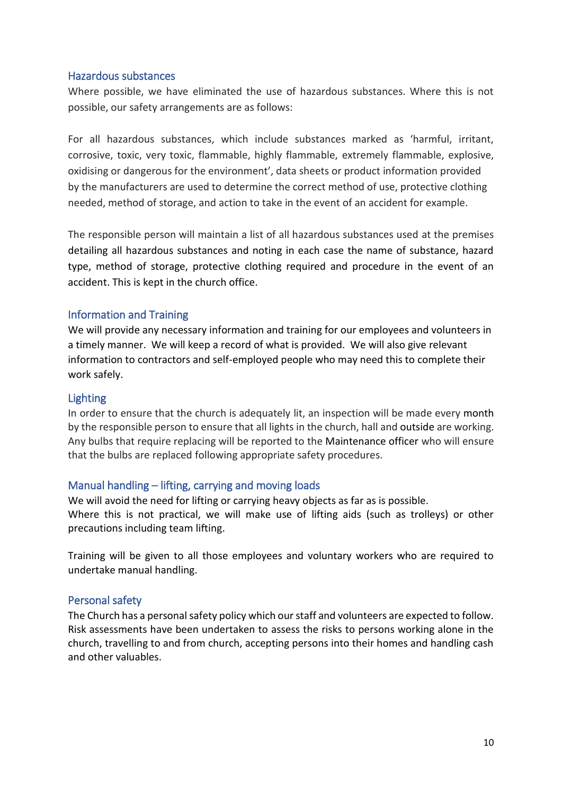#### <span id="page-9-0"></span>Hazardous substances

Where possible, we have eliminated the use of hazardous substances. Where this is not possible, our safety arrangements are as follows:

For all hazardous substances, which include substances marked as 'harmful, irritant, corrosive, toxic, very toxic, flammable, highly flammable, extremely flammable, explosive, oxidising or dangerous for the environment', data sheets or product information provided by the manufacturers are used to determine the correct method of use, protective clothing needed, method of storage, and action to take in the event of an accident for example.

The responsible person will maintain a list of all hazardous substances used at the premises detailing all hazardous substances and noting in each case the name of substance, hazard type, method of storage, protective clothing required and procedure in the event of an accident. This is kept in the church office.

#### <span id="page-9-1"></span>Information and Training

We will provide any necessary information and training for our employees and volunteers in a timely manner. We will keep a record of what is provided. We will also give relevant information to contractors and self-employed people who may need this to complete their work safely.

#### <span id="page-9-2"></span>Lighting

In order to ensure that the church is adequately lit, an inspection will be made every month by the responsible person to ensure that all lights in the church, hall and outside are working. Any bulbs that require replacing will be reported to the Maintenance officer who will ensure that the bulbs are replaced following appropriate safety procedures.

#### <span id="page-9-3"></span>Manual handling – lifting, carrying and moving loads

We will avoid the need for lifting or carrying heavy objects as far as is possible. Where this is not practical, we will make use of lifting aids (such as trolleys) or other precautions including team lifting.

Training will be given to all those employees and voluntary workers who are required to undertake manual handling.

#### <span id="page-9-4"></span>Personal safety

The Church has a personal safety policy which our staff and volunteers are expected to follow. Risk assessments have been undertaken to assess the risks to persons working alone in the church, travelling to and from church, accepting persons into their homes and handling cash and other valuables.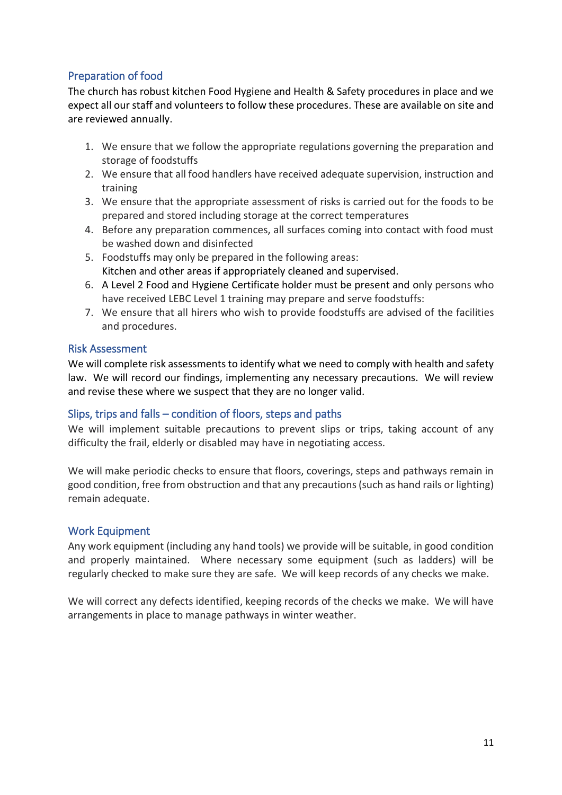#### <span id="page-10-0"></span>Preparation of food

The church has robust kitchen Food Hygiene and Health & Safety procedures in place and we expect all our staff and volunteers to follow these procedures. These are available on site and are reviewed annually.

- 1. We ensure that we follow the appropriate regulations governing the preparation and storage of foodstuffs
- 2. We ensure that all food handlers have received adequate supervision, instruction and training
- 3. We ensure that the appropriate assessment of risks is carried out for the foods to be prepared and stored including storage at the correct temperatures
- 4. Before any preparation commences, all surfaces coming into contact with food must be washed down and disinfected
- 5. Foodstuffs may only be prepared in the following areas: Kitchen and other areas if appropriately cleaned and supervised.
- 6. A Level 2 Food and Hygiene Certificate holder must be present and only persons who have received LEBC Level 1 training may prepare and serve foodstuffs:
- 7. We ensure that all hirers who wish to provide foodstuffs are advised of the facilities and procedures.

#### <span id="page-10-1"></span>Risk Assessment

We will complete risk assessments to identify what we need to comply with health and safety law. We will record our findings, implementing any necessary precautions. We will review and revise these where we suspect that they are no longer valid.

#### <span id="page-10-2"></span>Slips, trips and falls – condition of floors, steps and paths

We will implement suitable precautions to prevent slips or trips, taking account of any difficulty the frail, elderly or disabled may have in negotiating access.

We will make periodic checks to ensure that floors, coverings, steps and pathways remain in good condition, free from obstruction and that any precautions (such as hand rails or lighting) remain adequate.

#### <span id="page-10-3"></span>Work Equipment

Any work equipment (including any hand tools) we provide will be suitable, in good condition and properly maintained. Where necessary some equipment (such as ladders) will be regularly checked to make sure they are safe. We will keep records of any checks we make.

We will correct any defects identified, keeping records of the checks we make. We will have arrangements in place to manage pathways in winter weather.